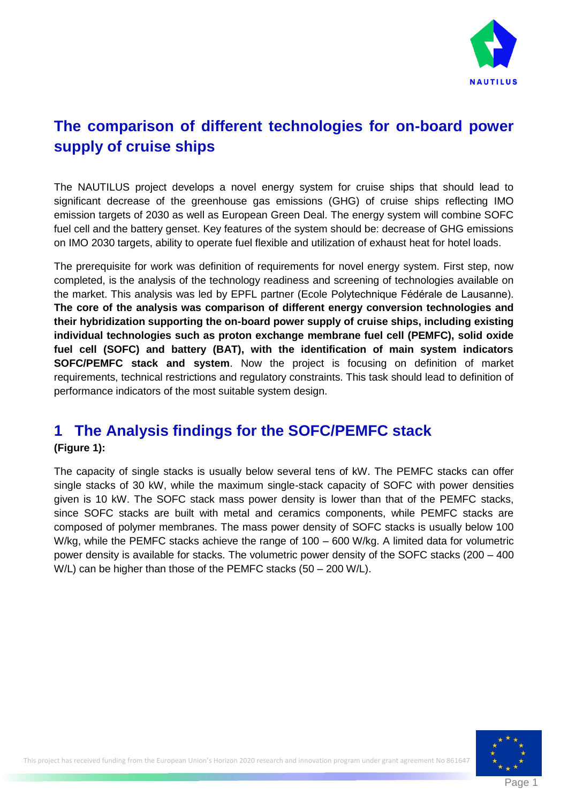

# **The comparison of different technologies for on-board power supply of cruise ships**

The NAUTILUS project develops a novel energy system for cruise ships that should lead to significant decrease of the greenhouse gas emissions (GHG) of cruise ships reflecting IMO emission targets of 2030 as well as European Green Deal. The energy system will combine SOFC fuel cell and the battery genset. Key features of the system should be: decrease of GHG emissions on IMO 2030 targets, ability to operate fuel flexible and utilization of exhaust heat for hotel loads.

The prerequisite for work was definition of requirements for novel energy system. First step, now completed, is the analysis of the technology readiness and screening of technologies available on the market. This analysis was led by EPFL partner (Ecole Polytechnique Fédérale de Lausanne). **The core of the analysis was comparison of different energy conversion technologies and their hybridization supporting the on-board power supply of cruise ships, including existing individual technologies such as proton exchange membrane fuel cell (PEMFC), solid oxide fuel cell (SOFC) and battery (BAT), with the identification of main system indicators SOFC/PEMFC stack and system**. Now the project is focusing on definition of market requirements, technical restrictions and regulatory constraints. This task should lead to definition of performance indicators of the most suitable system design.

## **1 The Analysis findings for the SOFC/PEMFC stack**

#### **[\(Figure 1\)](#page-1-0):**

The capacity of single stacks is usually below several tens of kW. The PEMFC stacks can offer single stacks of 30 kW, while the maximum single-stack capacity of SOFC with power densities given is 10 kW. The SOFC stack mass power density is lower than that of the PEMFC stacks, since SOFC stacks are built with metal and ceramics components, while PEMFC stacks are composed of polymer membranes. The mass power density of SOFC stacks is usually below 100 W/kg, while the PEMFC stacks achieve the range of 100 – 600 W/kg. A limited data for volumetric power density is available for stacks. The volumetric power density of the SOFC stacks (200 – 400 W/L) can be higher than those of the PEMFC stacks (50 – 200 W/L).

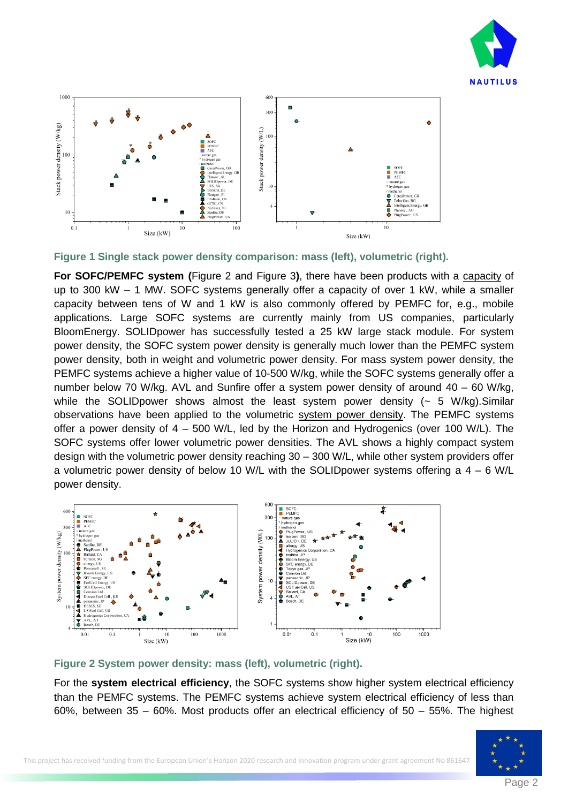



<span id="page-1-0"></span>**Figure 1 Single stack power density comparison: mass (left), volumetric (right).**

**For SOFC/PEMFC system (**[Figure 2](#page-1-1) and [Figure 3](#page-2-0)**)**, there have been products with a capacity of up to 300 kW – 1 MW. SOFC systems generally offer a capacity of over 1 kW, while a smaller capacity between tens of W and 1 kW is also commonly offered by PEMFC for, e.g., mobile applications. Large SOFC systems are currently mainly from US companies, particularly BloomEnergy. SOLIDpower has successfully tested a 25 kW large stack module. For system power density, the SOFC system power density is generally much lower than the PEMFC system power density, both in weight and volumetric power density. For mass system power density, the PEMFC systems achieve a higher value of 10-500 W/kg, while the SOFC systems generally offer a number below 70 W/kg. AVL and Sunfire offer a system power density of around 40 – 60 W/kg, while the SOLID power shows almost the least system power density  $\left(\sim 5 \text{ W/kg}\right)$ . Similar observations have been applied to the volumetric system power density. The PEMFC systems offer a power density of 4 – 500 W/L, led by the Horizon and Hydrogenics (over 100 W/L). The SOFC systems offer lower volumetric power densities. The AVL shows a highly compact system design with the volumetric power density reaching 30 – 300 W/L, while other system providers offer a volumetric power density of below 10 W/L with the SOLIDpower systems offering a  $4 - 6$  W/L power density.



<span id="page-1-1"></span>**Figure 2 System power density: mass (left), volumetric (right).**

For the **system electrical efficiency**, the SOFC systems show higher system electrical efficiency than the PEMFC systems. The PEMFC systems achieve system electrical efficiency of less than 60%, between 35 – 60%. Most products offer an electrical efficiency of 50 – 55%. The highest

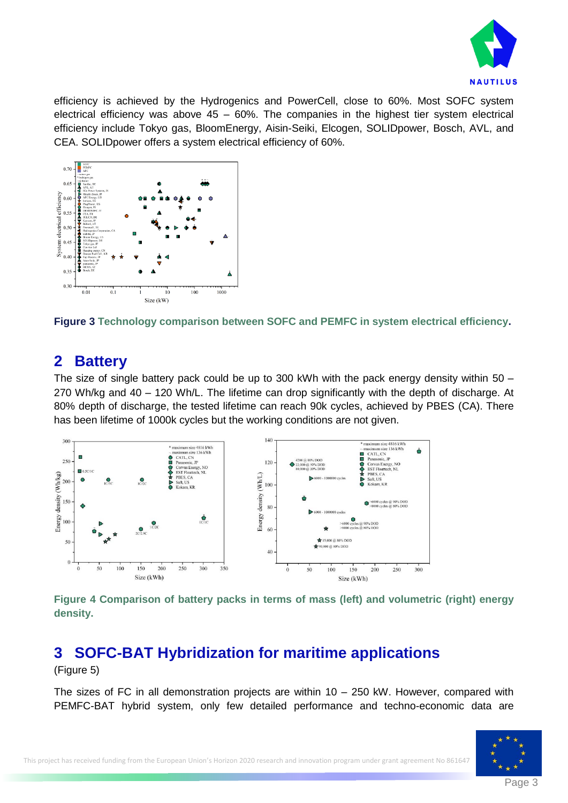

efficiency is achieved by the Hydrogenics and PowerCell, close to 60%. Most SOFC system electrical efficiency was above  $45 - 60\%$ . The companies in the highest tier system electrical efficiency include Tokyo gas, BloomEnergy, Aisin-Seiki, Elcogen, SOLIDpower, Bosch, AVL, and CEA. SOLIDpower offers a system electrical efficiency of 60%.



<span id="page-2-0"></span>**Figure 3 Technology comparison between SOFC and PEMFC in system electrical efficiency.**

### **2 Battery**

The size of single battery pack could be up to 300 kWh with the pack energy density within 50 – 270 Wh/kg and 40 – 120 Wh/L. The lifetime can drop significantly with the depth of discharge. At 80% depth of discharge, the tested lifetime can reach 90k cycles, achieved by PBES (CA). There has been lifetime of 1000k cycles but the working conditions are not given.



**Figure 4 Comparison of battery packs in terms of mass (left) and volumetric (right) energy density.**

## **3 SOFC-BAT Hybridization for maritime applications**

[\(Figure 5\)](#page-3-0)

The sizes of FC in all demonstration projects are within  $10 - 250$  kW. However, compared with PEMFC-BAT hybrid system, only few detailed performance and techno-economic data are

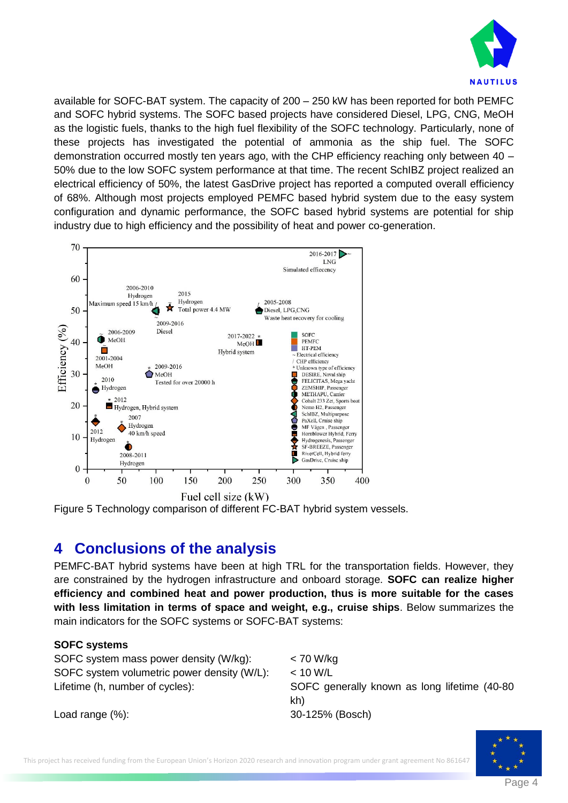

available for SOFC-BAT system. The capacity of 200 – 250 kW has been reported for both PEMFC and SOFC hybrid systems. The SOFC based projects have considered Diesel, LPG, CNG, MeOH as the logistic fuels, thanks to the high fuel flexibility of the SOFC technology. Particularly, none of these projects has investigated the potential of ammonia as the ship fuel. The SOFC demonstration occurred mostly ten years ago, with the CHP efficiency reaching only between 40 – 50% due to the low SOFC system performance at that time. The recent SchIBZ project realized an electrical efficiency of 50%, the latest GasDrive project has reported a computed overall efficiency of 68%. Although most projects employed PEMFC based hybrid system due to the easy system configuration and dynamic performance, the SOFC based hybrid systems are potential for ship industry due to high efficiency and the possibility of heat and power co-generation.



<span id="page-3-0"></span>

## **4 Conclusions of the analysis**

PEMFC-BAT hybrid systems have been at high TRL for the transportation fields. However, they are constrained by the hydrogen infrastructure and onboard storage. **SOFC can realize higher efficiency and combined heat and power production, thus is more suitable for the cases with less limitation in terms of space and weight, e.g., cruise ships**. Below summarizes the main indicators for the SOFC systems or SOFC-BAT systems:

#### **SOFC systems**

SOFC system mass power density (W/kg): < 70 W/kg SOFC system volumetric power density (W/L): < 10 W/L

Lifetime (h, number of cycles): SOFC generally known as long lifetime (40-80) kh)

Load range (%): 30-125% (Bosch)